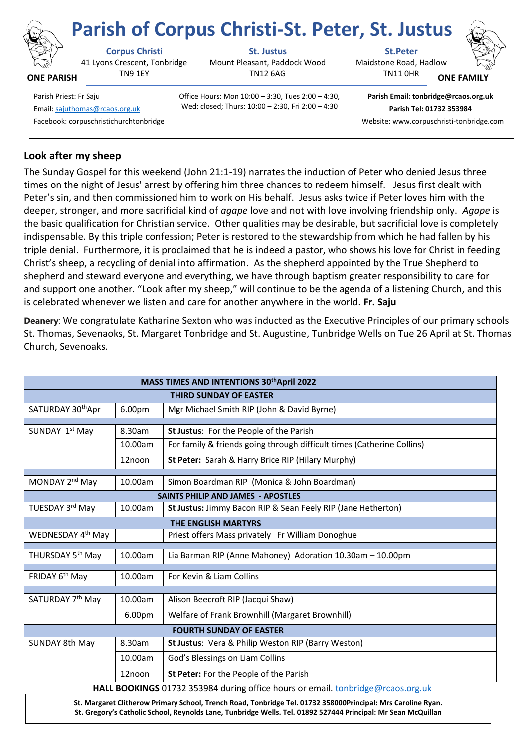

**ONE PARISH**

41 Lyons Crescent, Tonbridge TN9 1EY

**Corpus Christi St. Justus St.Peter**

Mount Pleasant, Paddock Wood TN12 6AG

Maidstone Road, Hadlow **Parish of Corpus Christi-St. Peter, St. Justus**

TN11 0HR



**ONE FAMI** 

Parish Priest: Fr Saju Office Hours: Mon 10:00 – 3:30, Tues 2:00 – 4:30, Wed: closed; Thurs: 10:00 – 2:30, Fri 2:00 – 4:30 Email[: sajuthomas@rcaos.org.uk](about:blank) **Parish Tel: 01732 353984**

**Parish Email: tonbridge@rcaos.org.uk**

Facebook: corpuschristichurchtonbridge Website: www.corpuschristi-tonbridge.com

# **Look after my sheep**

The Sunday Gospel for this weekend (John 21:1-19) narrates the induction of Peter who denied Jesus three times on the night of Jesus' arrest by offering him three chances to redeem himself. Jesus first dealt with Peter's sin, and then commissioned him to work on His behalf. Jesus asks twice if Peter loves him with the deeper, stronger, and more sacrificial kind of *agape* love and not with love involving friendship only. *Agape* is the basic qualification for Christian service. Other qualities may be desirable, but sacrificial love is completely indispensable. By this triple confession; Peter is restored to the stewardship from which he had fallen by his triple denial. Furthermore, it is proclaimed that he is indeed a pastor, who shows his love for Christ in feeding Christ's sheep, a recycling of denial into affirmation. As the shepherd appointed by the True Shepherd to shepherd and steward everyone and everything, we have through baptism greater responsibility to care for and support one another. "Look after my sheep," will continue to be the agenda of a listening Church, and this is celebrated whenever we listen and care for another anywhere in the world. **Fr. Saju**

**Deanery**: We congratulate Katharine Sexton who was inducted as the Executive Principles of our primary schools St. Thomas, Sevenaoks, St. Margaret Tonbridge and St. Augustine, Tunbridge Wells on Tue 26 April at St. Thomas Church, Sevenoaks.

| MASS TIMES AND INTENTIONS 30th April 2022                                             |         |                                                                        |
|---------------------------------------------------------------------------------------|---------|------------------------------------------------------------------------|
| <b>THIRD SUNDAY OF EASTER</b>                                                         |         |                                                                        |
| SATURDAY 30thApr                                                                      | 6.00pm  | Mgr Michael Smith RIP (John & David Byrne)                             |
|                                                                                       |         |                                                                        |
| SUNDAY 1st May                                                                        | 8.30am  | St Justus: For the People of the Parish                                |
|                                                                                       | 10.00am | For family & friends going through difficult times (Catherine Collins) |
|                                                                                       | 12noon  | St Peter: Sarah & Harry Brice RIP (Hilary Murphy)                      |
|                                                                                       |         |                                                                        |
| MONDAY 2 <sup>nd</sup> May                                                            | 10.00am | Simon Boardman RIP (Monica & John Boardman)                            |
| <b>SAINTS PHILIP AND JAMES - APOSTLES</b>                                             |         |                                                                        |
| TUESDAY 3rd May                                                                       | 10.00am | St Justus: Jimmy Bacon RIP & Sean Feely RIP (Jane Hetherton)           |
| <b>THE ENGLISH MARTYRS</b>                                                            |         |                                                                        |
| WEDNESDAY 4 <sup>th</sup> May                                                         |         | Priest offers Mass privately Fr William Donoghue                       |
| THURSDAY 5 <sup>th</sup> May                                                          | 10.00am | Lia Barman RIP (Anne Mahoney) Adoration 10.30am - 10.00pm              |
|                                                                                       |         |                                                                        |
| FRIDAY 6 <sup>th</sup> May                                                            | 10.00am | For Kevin & Liam Collins                                               |
|                                                                                       |         |                                                                        |
| SATURDAY 7 <sup>th</sup> May                                                          | 10.00am | Alison Beecroft RIP (Jacqui Shaw)                                      |
|                                                                                       | 6.00pm  | Welfare of Frank Brownhill (Margaret Brownhill)                        |
| <b>FOURTH SUNDAY OF EASTER</b>                                                        |         |                                                                        |
| <b>SUNDAY 8th May</b>                                                                 | 8.30am  | St Justus: Vera & Philip Weston RIP (Barry Weston)                     |
|                                                                                       | 10.00am | God's Blessings on Liam Collins                                        |
|                                                                                       | 12noon  | St Peter: For the People of the Parish                                 |
| <b>HALL BOOKINGS</b> 01732 353984 during office hours or email tophridge@rcaos.org.uk |         |                                                                        |

**HALL BOOKINGS** 01732 353984 during office hours or email. [tonbridge@rcaos.org.uk](mailto:tonbridge@rcaos.org.uk)

**St. Margaret Clitherow Primary School, Trench Road, Tonbridge Tel. 01732 358000Principal: Mrs Caroline Ryan. St. Gregory's Catholic School, Reynolds Lane, Tunbridge Wells. Tel. 01892 527444 Principal: Mr Sean McQuillan**